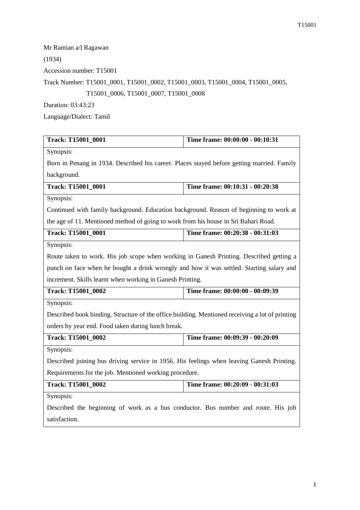Mr Ramian a/l Ragawan

(1934)

Accession number: T15001

Track Number: T15001\_0001, T15001\_0002, T15001\_0003, T15001\_0004, T15001\_0005,

T15001\_0006, T15001\_0007, T15001\_0008

Duration: 03:43:23

Language/Dialect: Tamil

| Track: T15001_0001                                                                              | Time frame: 00:00:00 - 00:10:31 |  |
|-------------------------------------------------------------------------------------------------|---------------------------------|--|
| Synopsis:                                                                                       |                                 |  |
| Born in Penang in 1934. Described his career. Places stayed before getting married. Family      |                                 |  |
| background.                                                                                     |                                 |  |
| Track: T15001_0001                                                                              | Time frame: 00:10:31 - 00:20:38 |  |
| Synopsis:                                                                                       |                                 |  |
| Continued with family background. Education background. Reason of beginning to work at          |                                 |  |
| the age of 11. Mentioned method of going to work from his house in Sri Bahari Road.             |                                 |  |
| Track: T15001_0001                                                                              | Time frame: 00:20:38 - 00:31:03 |  |
| Synopsis:                                                                                       |                                 |  |
| Route taken to work. His job scope when working in Ganesh Printing. Described getting a         |                                 |  |
| punch on face when he bought a drink wrongly and how it was settled. Starting salary and        |                                 |  |
| increment. Skills learnt when working in Ganesh Printing.                                       |                                 |  |
| <b>Track: T15001 0002</b>                                                                       | Time frame: 00:00:00 - 00:09:39 |  |
| Synopsis:                                                                                       |                                 |  |
| Described book binding. Structure of the office building. Mentioned receiving a lot of printing |                                 |  |
| orders by year end. Food taken during lunch break.                                              |                                 |  |
| Track: T15001_0002                                                                              | Time frame: 00:09:39 - 00:20:09 |  |
| Synopsis:                                                                                       |                                 |  |
| Described joining bus driving service in 1956. His feelings when leaving Ganesh Printing.       |                                 |  |
| Requirements for the job. Mentioned working procedure.                                          |                                 |  |
| Track: T15001_0002                                                                              | Time frame: 00:20:09 - 00:31:03 |  |
| Synopsis:                                                                                       |                                 |  |
| Described the beginning of work as a bus conductor. Bus number and route. His job               |                                 |  |
| satisfaction.                                                                                   |                                 |  |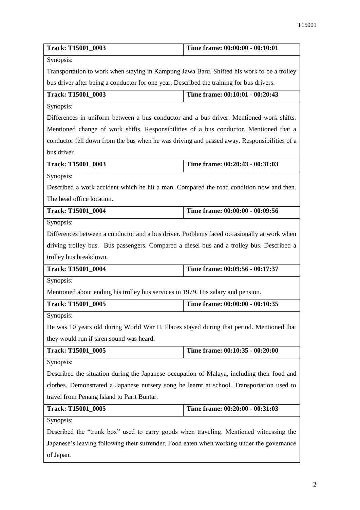| Track: T15001_0003                                                                          | Time frame: 00:00:00 - 00:10:01 |  |
|---------------------------------------------------------------------------------------------|---------------------------------|--|
| Synopsis:                                                                                   |                                 |  |
| Transportation to work when staying in Kampung Jawa Baru. Shifted his work to be a trolley  |                                 |  |
| bus driver after being a conductor for one year. Described the training for bus drivers.    |                                 |  |
| Track: T15001_0003                                                                          | Time frame: 00:10:01 - 00:20:43 |  |
| Synopsis:                                                                                   |                                 |  |
| Differences in uniform between a bus conductor and a bus driver. Mentioned work shifts.     |                                 |  |
| Mentioned change of work shifts. Responsibilities of a bus conductor. Mentioned that a      |                                 |  |
| conductor fell down from the bus when he was driving and passed away. Responsibilities of a |                                 |  |
| bus driver.                                                                                 |                                 |  |
| Track: T15001_0003                                                                          | Time frame: 00:20:43 - 00:31:03 |  |
| Synopsis:                                                                                   |                                 |  |
| Described a work accident which he hit a man. Compared the road condition now and then.     |                                 |  |
| The head office location.                                                                   |                                 |  |
| <b>Track: T15001_0004</b>                                                                   | Time frame: 00:00:00 - 00:09:56 |  |
| Synopsis:                                                                                   |                                 |  |
| Differences between a conductor and a bus driver. Problems faced occasionally at work when  |                                 |  |
| driving trolley bus. Bus passengers. Compared a diesel bus and a trolley bus. Described a   |                                 |  |
| trolley bus breakdown.                                                                      |                                 |  |
| Track: T15001_0004                                                                          | Time frame: 00:09:56 - 00:17:37 |  |
| Synopsis:                                                                                   |                                 |  |
| Mentioned about ending his trolley bus services in 1979. His salary and pension.            |                                 |  |
| Track: T15001_0005                                                                          | Time frame: 00:00:00 - 00:10:35 |  |
| Synopsis:                                                                                   |                                 |  |
| He was 10 years old during World War II. Places stayed during that period. Mentioned that   |                                 |  |
| they would run if siren sound was heard.                                                    |                                 |  |
| Track: T15001_0005                                                                          | Time frame: 00:10:35 - 00:20:00 |  |
| Synopsis:                                                                                   |                                 |  |
| Described the situation during the Japanese occupation of Malaya, including their food and  |                                 |  |
| clothes. Demonstrated a Japanese nursery song he learnt at school. Transportation used to   |                                 |  |
| travel from Penang Island to Parit Buntar.                                                  |                                 |  |
| Track: T15001_0005                                                                          | Time frame: 00:20:00 - 00:31:03 |  |
| Synopsis:                                                                                   |                                 |  |
| Described the "trunk box" used to carry goods when traveling. Mentioned witnessing the      |                                 |  |
| Japanese's leaving following their surrender. Food eaten when working under the governance  |                                 |  |
| of Japan.                                                                                   |                                 |  |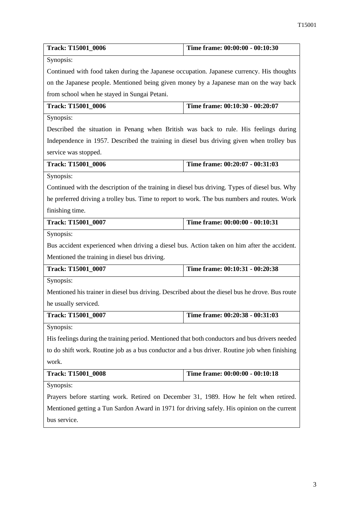| <b>Track: T15001_0006</b>                                                                       | Time frame: 00:00:00 - 00:10:30 |  |
|-------------------------------------------------------------------------------------------------|---------------------------------|--|
| Synopsis:                                                                                       |                                 |  |
| Continued with food taken during the Japanese occupation. Japanese currency. His thoughts       |                                 |  |
| on the Japanese people. Mentioned being given money by a Japanese man on the way back           |                                 |  |
| from school when he stayed in Sungai Petani.                                                    |                                 |  |
| <b>Track: T15001_0006</b>                                                                       | Time frame: 00:10:30 - 00:20:07 |  |
| Synopsis:                                                                                       |                                 |  |
| Described the situation in Penang when British was back to rule. His feelings during            |                                 |  |
| Independence in 1957. Described the training in diesel bus driving given when trolley bus       |                                 |  |
| service was stopped.                                                                            |                                 |  |
| <b>Track: T15001_0006</b>                                                                       | Time frame: 00:20:07 - 00:31:03 |  |
| Synopsis:                                                                                       |                                 |  |
| Continued with the description of the training in diesel bus driving. Types of diesel bus. Why  |                                 |  |
| he preferred driving a trolley bus. Time to report to work. The bus numbers and routes. Work    |                                 |  |
| finishing time.                                                                                 |                                 |  |
| Track: T15001_0007                                                                              | Time frame: 00:00:00 - 00:10:31 |  |
| Synopsis:                                                                                       |                                 |  |
| Bus accident experienced when driving a diesel bus. Action taken on him after the accident.     |                                 |  |
| Mentioned the training in diesel bus driving.                                                   |                                 |  |
| Track: T15001_0007                                                                              | Time frame: 00:10:31 - 00:20:38 |  |
| Synopsis:                                                                                       |                                 |  |
| Mentioned his trainer in diesel bus driving. Described about the diesel bus he drove. Bus route |                                 |  |
| he usually serviced.                                                                            |                                 |  |
| Track: T15001_0007                                                                              | Time frame: 00:20:38 - 00:31:03 |  |
| Synopsis:                                                                                       |                                 |  |
| His feelings during the training period. Mentioned that both conductors and bus drivers needed  |                                 |  |
| to do shift work. Routine job as a bus conductor and a bus driver. Routine job when finishing   |                                 |  |
| work.                                                                                           |                                 |  |
| <b>Track: T15001_0008</b>                                                                       | Time frame: 00:00:00 - 00:10:18 |  |
| Synopsis:                                                                                       |                                 |  |
| Prayers before starting work. Retired on December 31, 1989. How he felt when retired.           |                                 |  |
| Mentioned getting a Tun Sardon Award in 1971 for driving safely. His opinion on the current     |                                 |  |
| bus service.                                                                                    |                                 |  |